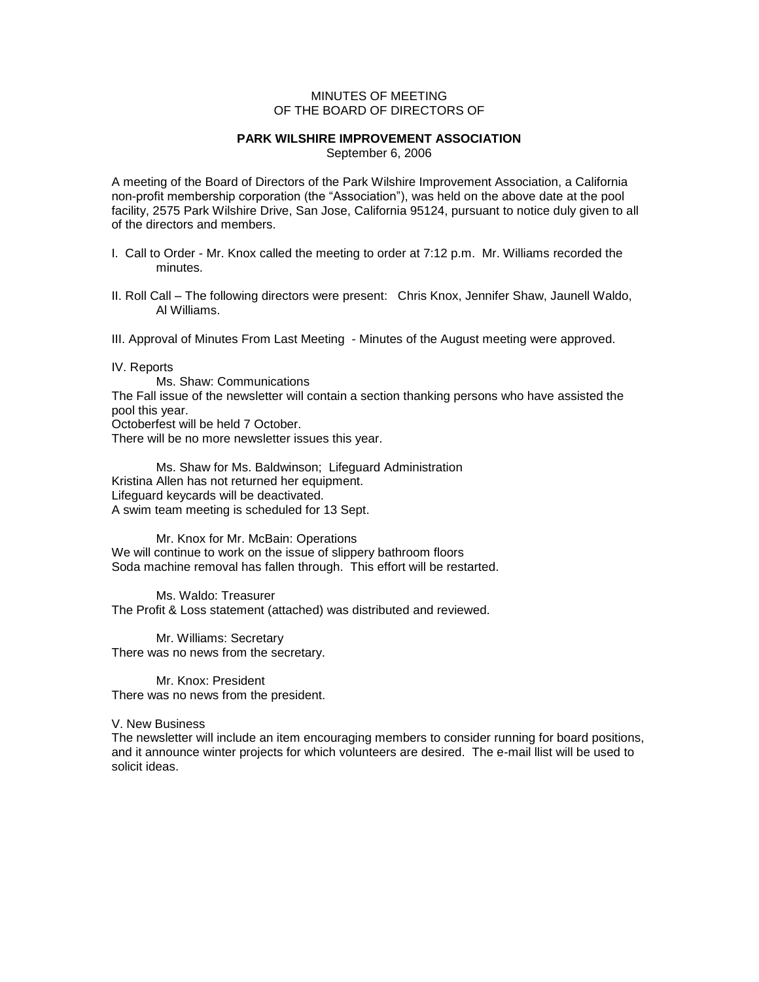## MINUTES OF MEETING OF THE BOARD OF DIRECTORS OF

## **PARK WILSHIRE IMPROVEMENT ASSOCIATION**

September 6, 2006

A meeting of the Board of Directors of the Park Wilshire Improvement Association, a California non-profit membership corporation (the "Association"), was held on the above date at the pool facility, 2575 Park Wilshire Drive, San Jose, California 95124, pursuant to notice duly given to all of the directors and members.

- I. Call to Order Mr. Knox called the meeting to order at 7:12 p.m. Mr. Williams recorded the minutes.
- II. Roll Call The following directors were present: Chris Knox, Jennifer Shaw, Jaunell Waldo, Al Williams.

III. Approval of Minutes From Last Meeting - Minutes of the August meeting were approved.

IV. Reports

Ms. Shaw: Communications The Fall issue of the newsletter will contain a section thanking persons who have assisted the pool this year.

Octoberfest will be held 7 October.

There will be no more newsletter issues this year.

Ms. Shaw for Ms. Baldwinson; Lifeguard Administration Kristina Allen has not returned her equipment. Lifeguard keycards will be deactivated. A swim team meeting is scheduled for 13 Sept.

Mr. Knox for Mr. McBain: Operations We will continue to work on the issue of slippery bathroom floors Soda machine removal has fallen through. This effort will be restarted.

Ms. Waldo: Treasurer The Profit & Loss statement (attached) was distributed and reviewed.

Mr. Williams: Secretary There was no news from the secretary.

Mr. Knox: President There was no news from the president.

V. New Business

The newsletter will include an item encouraging members to consider running for board positions, and it announce winter projects for which volunteers are desired. The e-mail llist will be used to solicit ideas.